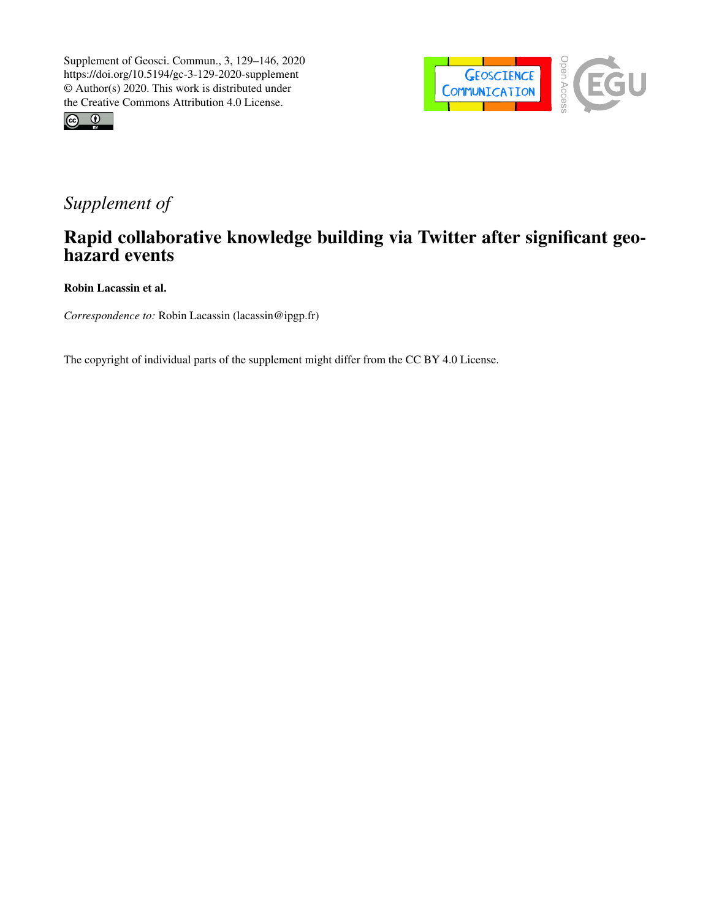



## *Supplement of*

## Rapid collaborative knowledge building via Twitter after significant geohazard events

Robin Lacassin et al.

*Correspondence to:* Robin Lacassin (lacassin@ipgp.fr)

The copyright of individual parts of the supplement might differ from the CC BY 4.0 License.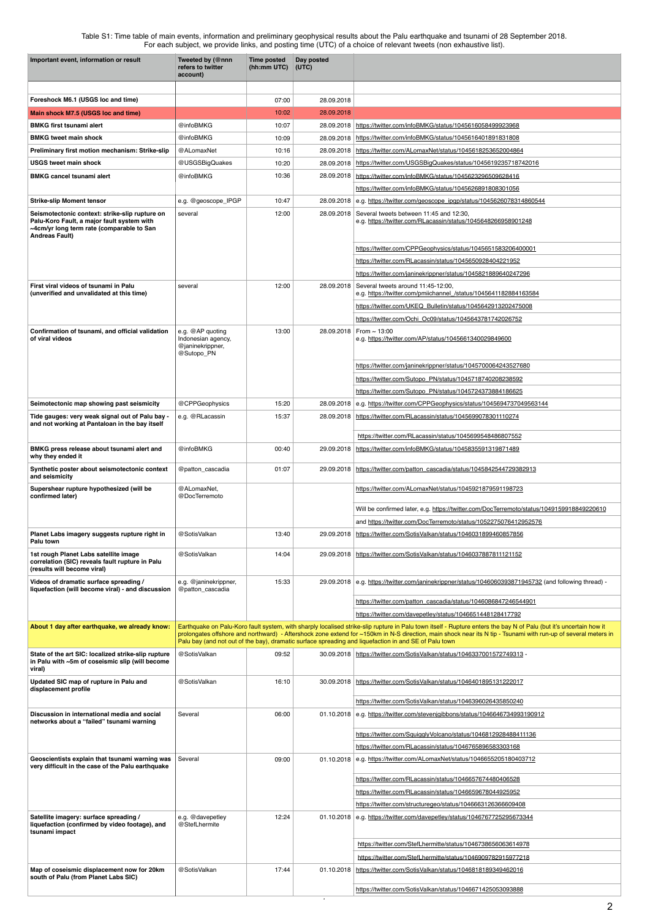Table S1: Time table of main events, information and preliminary geophysical results about the Palu earthquake and tsunami of 28 September 2018. For each subject, we provide links, and posting time (UTC) of a choice of relevant tweets (non exhaustive list).

| Important event, information or result                                                                                                                             | Tweeted by (@nnn<br>refers to twitter<br>account)                        | <b>Time posted</b><br>(hh:mm UTC) | Day posted<br>(UTC)      |                                                                                                                                                                                                                                                                         |
|--------------------------------------------------------------------------------------------------------------------------------------------------------------------|--------------------------------------------------------------------------|-----------------------------------|--------------------------|-------------------------------------------------------------------------------------------------------------------------------------------------------------------------------------------------------------------------------------------------------------------------|
|                                                                                                                                                                    |                                                                          |                                   |                          |                                                                                                                                                                                                                                                                         |
| Foreshock M6.1 (USGS loc and time)                                                                                                                                 |                                                                          | 07:00                             | 28.09.2018               |                                                                                                                                                                                                                                                                         |
| Main shock M7.5 (USGS loc and time)                                                                                                                                |                                                                          | 10:02                             | 28.09.2018               |                                                                                                                                                                                                                                                                         |
| <b>BMKG first tsunami alert</b>                                                                                                                                    | @infoBMKG                                                                | 10:07                             | 28.09.2018               | https://twitter.com/infoBMKG/status/1045616058499923968                                                                                                                                                                                                                 |
| <b>BMKG tweet main shock</b>                                                                                                                                       | @infoBMKG                                                                | 10:09                             | 28.09.2018               | https://twitter.com/infoBMKG/status/1045616401891831808                                                                                                                                                                                                                 |
| Preliminary first motion mechanism: Strike-slip<br><b>USGS tweet main shock</b>                                                                                    | @ALomaxNet<br>@USGSBigQuakes                                             | 10:16<br>10:20                    | 28.09.2018<br>28.09.2018 | https://twitter.com/ALomaxNet/status/1045618253652004864<br>https://twitter.com/USGSBigQuakes/status/1045619235718742016                                                                                                                                                |
| <b>BMKG cancel tsunami alert</b>                                                                                                                                   | @infoBMKG                                                                | 10:36                             | 28.09.2018               | https://twitter.com/infoBMKG/status/1045623296509628416                                                                                                                                                                                                                 |
|                                                                                                                                                                    |                                                                          |                                   |                          | https://twitter.com/infoBMKG/status/1045626891808301056                                                                                                                                                                                                                 |
| <b>Strike-slip Moment tensor</b>                                                                                                                                   | e.g. @geoscope_IPGP                                                      | 10:47                             | 28.09.2018               | e.g. https://twitter.com/geoscope_ipgp/status/1045626078314860544                                                                                                                                                                                                       |
| Seismotectonic context: strike-slip rupture on<br>Palu-Koro Fault, a major fault system with<br>~4cm/yr long term rate (comparable to San<br><b>Andreas Fault)</b> | several                                                                  | 12:00                             | 28.09.2018               | Several tweets between 11:45 and 12:30,<br>e.g. https://twitter.com/RLacassin/status/1045648266958901248                                                                                                                                                                |
|                                                                                                                                                                    |                                                                          |                                   |                          | https://twitter.com/CPPGeophysics/status/1045651583206400001                                                                                                                                                                                                            |
|                                                                                                                                                                    |                                                                          |                                   |                          | https://twitter.com/RLacassin/status/1045650928404221952                                                                                                                                                                                                                |
|                                                                                                                                                                    |                                                                          |                                   |                          | https://twitter.com/janinekrippner/status/1045821889640247296                                                                                                                                                                                                           |
| First viral videos of tsunami in Palu<br>(unverified and unvalidated at this time)                                                                                 | several                                                                  | 12:00                             | 28.09.2018               | Several tweets around 11:45-12:00,<br>e.g. https://twitter.com/pmiichannel /status/1045641182884163584                                                                                                                                                                  |
|                                                                                                                                                                    |                                                                          |                                   |                          | https://twitter.com/UKEQ_Bulletin/status/1045642913202475008                                                                                                                                                                                                            |
|                                                                                                                                                                    |                                                                          |                                   |                          | https://twitter.com/Ochi_Oc09/status/1045643781742026752                                                                                                                                                                                                                |
| Confirmation of tsunami, and official validation<br>of viral videos                                                                                                | e.g. @AP quoting<br>Indonesian agency,<br>@janinekrippner,<br>@Sutopo_PN | 13:00                             |                          | 28.09.2018   From $\sim$ 13:00<br>e.g. https://twitter.com/AP/status/1045661340029849600                                                                                                                                                                                |
|                                                                                                                                                                    |                                                                          |                                   |                          | https://twitter.com/janinekrippner/status/1045700064243527680                                                                                                                                                                                                           |
|                                                                                                                                                                    |                                                                          |                                   |                          | https://twitter.com/Sutopo PN/status/1045718740208238592                                                                                                                                                                                                                |
|                                                                                                                                                                    |                                                                          |                                   |                          | https://twitter.com/Sutopo PN/status/1045724373884186625                                                                                                                                                                                                                |
| Seimotectonic map showing past seismicity                                                                                                                          | @CPPGeophysics                                                           | 15:20                             | 28.09.2018               | e.g. https://twitter.com/CPPGeophysics/status/1045694737049563144                                                                                                                                                                                                       |
| Tide gauges: very weak signal out of Palu bay -<br>and not working at Pantaloan in the bay itself                                                                  | e.g. @RLacassin                                                          | 15:37                             |                          | 28.09.2018   https://twitter.com/RLacassin/status/1045699078301110274<br>https://twitter.com/RLacassin/status/1045699548486807552                                                                                                                                       |
| BMKG press release about tsunami alert and<br>why they ended it                                                                                                    | @infoBMKG                                                                | 00:40                             | 29.09.2018               | https://twitter.com/infoBMKG/status/1045835591319871489                                                                                                                                                                                                                 |
| Synthetic poster about seismotectonic context                                                                                                                      | @patton_cascadia                                                         | 01:07                             | 29.09.2018               | https://twitter.com/patton_cascadia/status/1045842544729382913                                                                                                                                                                                                          |
| and seismicity<br>Supershear rupture hypothesized (will be<br>confirmed later)                                                                                     | @ALomaxNet,<br>@DocTerremoto                                             |                                   |                          | https://twitter.com/ALomaxNet/status/1045921879591198723                                                                                                                                                                                                                |
|                                                                                                                                                                    |                                                                          |                                   |                          | Will be confirmed later, e.g. https://twitter.com/DocTerremoto/status/1049159918849220610                                                                                                                                                                               |
|                                                                                                                                                                    |                                                                          |                                   |                          | and https://twitter.com/DocTerremoto/status/1052275076412952576                                                                                                                                                                                                         |
| Planet Labs imagery suggests rupture right in<br>Palu town                                                                                                         | @SotisValkan                                                             | 13:40                             | 29.09.2018               | https://twitter.com/SotisValkan/status/1046031899460857856                                                                                                                                                                                                              |
| 1st rough Planet Labs satellite image<br>correlation (SIC) reveals fault rupture in Palu<br>(results will become viral)                                            | @SotisValkan                                                             | 14:04                             | 29.09.2018               | https://twitter.com/SotisValkan/status/1046037887811121152                                                                                                                                                                                                              |
| Videos of dramatic surface spreading /<br>liquefaction (will become viral) - and discussion                                                                        | e.g. @janinekrippner,<br>@patton_cascadia                                | 15:33                             |                          | 29.09.2018 e.g. https://twitter.com/janinekrippner/status/1046060393871945732 (and following thread) -                                                                                                                                                                  |
|                                                                                                                                                                    |                                                                          |                                   |                          | https://twitter.com/patton_cascadia/status/1046086847246544901                                                                                                                                                                                                          |
|                                                                                                                                                                    |                                                                          |                                   |                          | https://twitter.com/davepetley/status/1046651448128417792                                                                                                                                                                                                               |
| About 1 day after earthquake, we already know:                                                                                                                     |                                                                          |                                   |                          | Earthquake on Palu-Koro fault system, with sharply localised strike-slip rupture in Palu town itself - Rupture enters the bay N of Palu (but it's uncertain how it                                                                                                      |
|                                                                                                                                                                    |                                                                          |                                   |                          | prolongates offshore and northward) - Aftershock zone extend for ~150km in N-S direction, main shock near its N tip - Tsunami with run-up of several meters in<br>Palu bay (and not out of the bay), dramatic surface spreading and liquefaction in and SE of Palu town |
| State of the art SIC: localized strike-slip rupture<br>in Palu with ~5m of coseismic slip (will become<br>viral)                                                   | @SotisValkan                                                             | 09:52                             |                          | 30.09.2018 https://twitter.com/SotisValkan/status/1046337001572749313 -                                                                                                                                                                                                 |
| Updated SIC map of rupture in Palu and<br>displacement profile                                                                                                     | @SotisValkan                                                             | 16:10                             | 30.09.2018               | https://twitter.com/SotisValkan/status/1046401895131222017                                                                                                                                                                                                              |
|                                                                                                                                                                    |                                                                          |                                   |                          | https://twitter.com/SotisValkan/status/1046396026435850240                                                                                                                                                                                                              |
| Discussion in international media and social<br>networks about a "failed" tsunami warning                                                                          | Several                                                                  | 06:00                             |                          | 01.10.2018 e.g. https://twitter.com/stevenjgibbons/status/1046646734993190912                                                                                                                                                                                           |
|                                                                                                                                                                    |                                                                          |                                   |                          | https://twitter.com/SquigglyVolcano/status/1046812928488411136                                                                                                                                                                                                          |
| Geoscientists explain that tsunami warning was                                                                                                                     | Several                                                                  |                                   |                          | https://twitter.com/RLacassin/status/1046765896583303168                                                                                                                                                                                                                |
| very difficult in the case of the Palu earthquake                                                                                                                  |                                                                          | 09:00                             | 01.10.2018               | e.g. https://twitter.com/ALomaxNet/status/1046655205180403712                                                                                                                                                                                                           |
|                                                                                                                                                                    |                                                                          |                                   |                          | https://twitter.com/RLacassin/status/1046657674480406528                                                                                                                                                                                                                |
|                                                                                                                                                                    |                                                                          |                                   |                          | https://twitter.com/RLacassin/status/1046659678044925952                                                                                                                                                                                                                |
|                                                                                                                                                                    |                                                                          |                                   |                          | https://twitter.com/structuregeo/status/1046663126366609408                                                                                                                                                                                                             |
| Satellite imagery: surface spreading /<br>liquefaction (confirmed by video footage), and<br>tsunami impact                                                         | e.g. @davepetley<br>@StefLhermite                                        | 12:24                             | 01.10.2018               | e.g. https://twitter.com/davepetley/status/1046767725295673344                                                                                                                                                                                                          |
|                                                                                                                                                                    |                                                                          |                                   |                          | https://twitter.com/StefLhermitte/status/1046738656063614978                                                                                                                                                                                                            |
|                                                                                                                                                                    |                                                                          |                                   |                          | https://twitter.com/StefLhermitte/status/1046909782915977218                                                                                                                                                                                                            |
| Map of coseismic displacement now for 20km<br>south of Palu (from Planet Labs SIC)                                                                                 | @SotisValkan                                                             | 17:44                             | 01.10.2018               | https://twitter.com/SotisValkan/status/1046818189349462016                                                                                                                                                                                                              |
|                                                                                                                                                                    |                                                                          |                                   |                          | https://twitter.com/SotisValkan/status/1046671425053093888                                                                                                                                                                                                              |

 $\sim$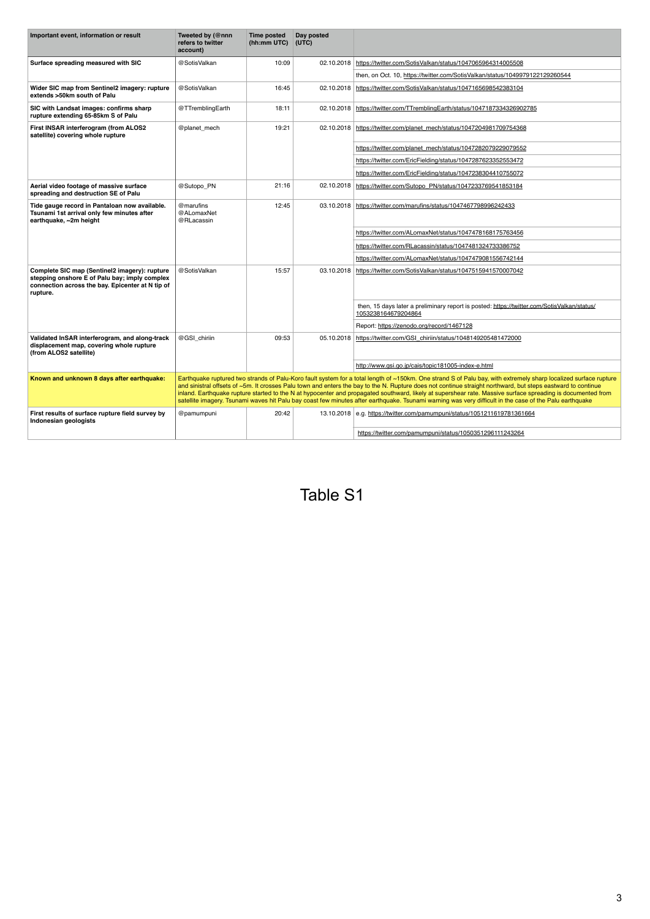| Important event, information or result                                                                                                                         | Tweeted by (@nnn<br>refers to twitter<br>account)                                                                                                                                                                                                                                                                                                                                                                                                                                                                                                                                                                                                          | <b>Time posted</b><br>(hh:mm UTC) | Day posted<br>(UTC) |                                                                                                                    |  |
|----------------------------------------------------------------------------------------------------------------------------------------------------------------|------------------------------------------------------------------------------------------------------------------------------------------------------------------------------------------------------------------------------------------------------------------------------------------------------------------------------------------------------------------------------------------------------------------------------------------------------------------------------------------------------------------------------------------------------------------------------------------------------------------------------------------------------------|-----------------------------------|---------------------|--------------------------------------------------------------------------------------------------------------------|--|
| Surface spreading measured with SIC                                                                                                                            | @SotisValkan                                                                                                                                                                                                                                                                                                                                                                                                                                                                                                                                                                                                                                               | 10:09                             | 02.10.2018          | https://twitter.com/SotisValkan/status/1047065964314005508                                                         |  |
|                                                                                                                                                                |                                                                                                                                                                                                                                                                                                                                                                                                                                                                                                                                                                                                                                                            |                                   |                     | then, on Oct. 10, https://twitter.com/SotisValkan/status/1049979122129260544                                       |  |
| Wider SIC map from Sentinel2 imagery: rupture<br>extends >50km south of Palu                                                                                   | @SotisValkan                                                                                                                                                                                                                                                                                                                                                                                                                                                                                                                                                                                                                                               | 16:45                             |                     | 02.10.2018 https://twitter.com/SotisValkan/status/1047165698542383104                                              |  |
| SIC with Landsat images: confirms sharp<br>rupture extending 65-85km S of Palu                                                                                 | @TTremblingEarth                                                                                                                                                                                                                                                                                                                                                                                                                                                                                                                                                                                                                                           | 18:11                             |                     | 02.10.2018   https://twitter.com/TTremblingEarth/status/1047187334326902785                                        |  |
| First INSAR interferogram (from ALOS2<br>satellite) covering whole rupture                                                                                     | @planet_mech                                                                                                                                                                                                                                                                                                                                                                                                                                                                                                                                                                                                                                               | 19:21                             |                     | 02.10.2018   https://twitter.com/planet_mech/status/1047204981709754368                                            |  |
|                                                                                                                                                                |                                                                                                                                                                                                                                                                                                                                                                                                                                                                                                                                                                                                                                                            |                                   |                     | https://twitter.com/planet_mech/status/1047282079229079552                                                         |  |
|                                                                                                                                                                |                                                                                                                                                                                                                                                                                                                                                                                                                                                                                                                                                                                                                                                            |                                   |                     | https://twitter.com/EricFielding/status/1047287623352553472                                                        |  |
|                                                                                                                                                                |                                                                                                                                                                                                                                                                                                                                                                                                                                                                                                                                                                                                                                                            |                                   |                     | https://twitter.com/EricFielding/status/1047238304410755072                                                        |  |
| Aerial video footage of massive surface<br>spreading and destruction SE of Palu                                                                                | @Sutopo_PN                                                                                                                                                                                                                                                                                                                                                                                                                                                                                                                                                                                                                                                 | 21:16                             |                     | 02.10.2018   https://twitter.com/Sutopo_PN/status/1047233769541853184                                              |  |
| Tide gauge record in Pantaloan now available.<br>Tsunami 1st arrival only few minutes after<br>earthquake, ~2m height                                          | @marufins<br>@ALomaxNet<br>@RLacassin                                                                                                                                                                                                                                                                                                                                                                                                                                                                                                                                                                                                                      | 12:45                             |                     | 03.10.2018   https://twitter.com/marufins/status/1047467798996242433                                               |  |
|                                                                                                                                                                |                                                                                                                                                                                                                                                                                                                                                                                                                                                                                                                                                                                                                                                            |                                   |                     | https://twitter.com/ALomaxNet/status/1047478168175763456                                                           |  |
|                                                                                                                                                                |                                                                                                                                                                                                                                                                                                                                                                                                                                                                                                                                                                                                                                                            |                                   |                     | https://twitter.com/RLacassin/status/1047481324733386752                                                           |  |
|                                                                                                                                                                |                                                                                                                                                                                                                                                                                                                                                                                                                                                                                                                                                                                                                                                            |                                   |                     | https://twitter.com/ALomaxNet/status/1047479081556742144                                                           |  |
| Complete SIC map (Sentinel2 imagery): rupture<br>stepping onshore E of Palu bay; imply complex<br>connection across the bay. Epicenter at N tip of<br>rupture. | @SotisValkan                                                                                                                                                                                                                                                                                                                                                                                                                                                                                                                                                                                                                                               | 15:57                             | 03.10.2018          | https://twitter.com/SotisValkan/status/1047515941570007042                                                         |  |
|                                                                                                                                                                |                                                                                                                                                                                                                                                                                                                                                                                                                                                                                                                                                                                                                                                            |                                   |                     | then, 15 days later a preliminary report is posted: https://twitter.com/SotisValkan/status/<br>1053238164679204864 |  |
|                                                                                                                                                                |                                                                                                                                                                                                                                                                                                                                                                                                                                                                                                                                                                                                                                                            |                                   |                     | Report: https://zenodo.org/record/1467128                                                                          |  |
| Validated InSAR interferogram, and along-track<br>displacement map, covering whole rupture<br>(from ALOS2 satellite)                                           | @GSI chiriin                                                                                                                                                                                                                                                                                                                                                                                                                                                                                                                                                                                                                                               | 09:53                             |                     | 05.10.2018   https://twitter.com/GSI_chiriin/status/1048149205481472000                                            |  |
|                                                                                                                                                                |                                                                                                                                                                                                                                                                                                                                                                                                                                                                                                                                                                                                                                                            |                                   |                     | http://www.gsi.go.jp/cais/topic181005-index-e.html                                                                 |  |
| Known and unknown 8 days after earthquake:                                                                                                                     | Earthquake ruptured two strands of Palu-Koro fault system for a total length of ~150km. One strand S of Palu bay, with extremely sharp localized surface rupture<br>and sinistral offsets of ~5m. It crosses Palu town and enters the bay to the N. Rupture does not continue straight northward, but steps eastward to continue<br>inland. Earthquake rupture started to the N at hypocenter and propagated southward, likely at supershear rate. Massive surface spreading is documented from<br>satellite imagery. Tsunami waves hit Palu bay coast few minutes after earthquake. Tsunami warning was very difficult in the case of the Palu earthquake |                                   |                     |                                                                                                                    |  |
| First results of surface rupture field survey by<br>Indonesian geologists                                                                                      | @pamumpuni                                                                                                                                                                                                                                                                                                                                                                                                                                                                                                                                                                                                                                                 | 20:42                             |                     | 13.10.2018 e.g. https://twitter.com/pamumpuni/status/1051211619781361664                                           |  |
|                                                                                                                                                                |                                                                                                                                                                                                                                                                                                                                                                                                                                                                                                                                                                                                                                                            |                                   |                     | https://twitter.com/pamumpuni/status/1050351296111243264                                                           |  |

3